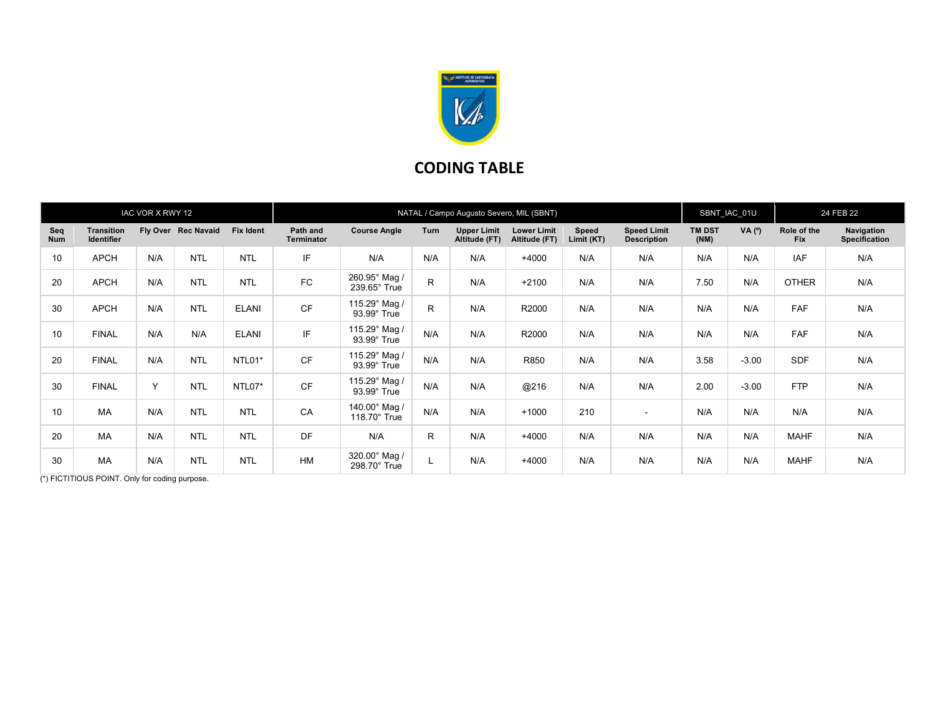

## CODING TABLE

| IAC VOR X RWY 12  |                                        |              |                     |                  | NATAL / Campo Augusto Severo, MIL (SBNT) |                                      |              |                                     |                                     |                     |                                          |                       | SBNT_IAC_01U |                           | 24 FEB 22                          |  |
|-------------------|----------------------------------------|--------------|---------------------|------------------|------------------------------------------|--------------------------------------|--------------|-------------------------------------|-------------------------------------|---------------------|------------------------------------------|-----------------------|--------------|---------------------------|------------------------------------|--|
| Seq<br><b>Num</b> | <b>Transition</b><br><b>Identifier</b> |              | Fly Over Rec Navaid | <b>Fix Ident</b> | Path and<br><b>Terminator</b>            | <b>Course Angle</b>                  | Turn         | <b>Upper Limit</b><br>Altitude (FT) | <b>Lower Limit</b><br>Altitude (FT) | Speed<br>Limit (KT) | <b>Speed Limit</b><br><b>Description</b> | <b>TM DST</b><br>(NM) | VA (°)       | Role of the<br><b>Fix</b> | Navigation<br><b>Specification</b> |  |
| 10                | <b>APCH</b>                            | N/A          | <b>NTL</b>          | <b>NTL</b>       | IF                                       | N/A                                  | N/A          | N/A                                 | $+4000$                             | N/A                 | N/A                                      | N/A                   | N/A          | <b>IAF</b>                | N/A                                |  |
| 20                | <b>APCH</b>                            | N/A          | <b>NTL</b>          | <b>NTL</b>       | <b>FC</b>                                | 260.95° Mag /<br>$239.65^\circ$ True | $\mathsf{R}$ | N/A                                 | $+2100$                             | N/A                 | N/A                                      | 7.50                  | N/A          | <b>OTHER</b>              | N/A                                |  |
| 30                | <b>APCH</b>                            | N/A          | <b>NTL</b>          | <b>ELANI</b>     | <b>CF</b>                                | 115.29° Mag /<br>93.99° True         | $\mathsf{R}$ | N/A                                 | R2000                               | N/A                 | N/A                                      | N/A                   | N/A          | <b>FAF</b>                | N/A                                |  |
| 10                | <b>FINAL</b>                           | N/A          | N/A                 | <b>ELANI</b>     | IF                                       | 115.29° Mag /<br>$93.99^\circ$ True  | N/A          | N/A                                 | R2000                               | N/A                 | N/A                                      | N/A                   | N/A          | <b>FAF</b>                | N/A                                |  |
| 20                | <b>FINAL</b>                           | N/A          | <b>NTL</b>          | NTL01*           | <b>CF</b>                                | 115.29° Mag /<br>93.99° True         | N/A          | N/A                                 | R850                                | N/A                 | N/A                                      | 3.58                  | $-3.00$      | <b>SDF</b>                | N/A                                |  |
| 30                | <b>FINAL</b>                           | $\checkmark$ | <b>NTL</b>          | NTL07*           | <b>CF</b>                                | 115.29° Mag /<br>93.99° True         | N/A          | N/A                                 | @216                                | N/A                 | N/A                                      | 2.00                  | $-3.00$      | <b>FTP</b>                | N/A                                |  |
| 10                | MA                                     | N/A          | <b>NTL</b>          | <b>NTL</b>       | CA                                       | 140.00° Mag /<br>$118.70^\circ$ True | N/A          | N/A                                 | $+1000$                             | 210                 | $\sim$                                   | N/A                   | N/A          | N/A                       | N/A                                |  |
| 20                | <b>MA</b>                              | N/A          | <b>NTL</b>          | <b>NTL</b>       | DF                                       | N/A                                  | $\mathsf{R}$ | N/A                                 | $+4000$                             | N/A                 | N/A                                      | N/A                   | N/A          | <b>MAHF</b>               | N/A                                |  |
| 30                | MA                                     | N/A          | <b>NTL</b>          | <b>NTL</b>       | <b>HM</b>                                | 320.00° Mag /<br>298.70° True        |              | N/A                                 | $+4000$                             | N/A                 | N/A                                      | N/A                   | N/A          | <b>MAHF</b>               | N/A                                |  |

(\*) FICTITIOUS POINT. Only for coding purpose.